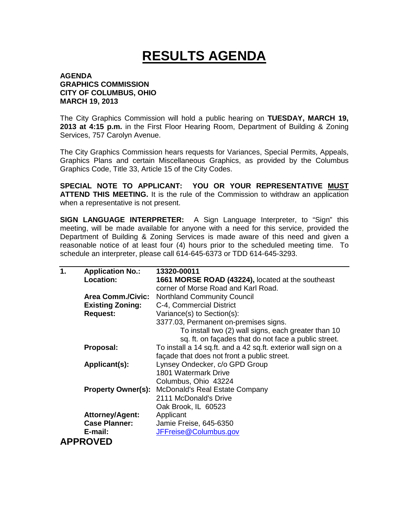## **RESULTS AGENDA**

## **AGENDA GRAPHICS COMMISSION CITY OF COLUMBUS, OHIO MARCH 19, 2013**

The City Graphics Commission will hold a public hearing on **TUESDAY, MARCH 19, 2013 at 4:15 p.m.** in the First Floor Hearing Room, Department of Building & Zoning Services, 757 Carolyn Avenue.

The City Graphics Commission hears requests for Variances, Special Permits, Appeals, Graphics Plans and certain Miscellaneous Graphics, as provided by the Columbus Graphics Code, Title 33, Article 15 of the City Codes.

**SPECIAL NOTE TO APPLICANT: YOU OR YOUR REPRESENTATIVE MUST ATTEND THIS MEETING.** It is the rule of the Commission to withdraw an application when a representative is not present.

**SIGN LANGUAGE INTERPRETER:** A Sign Language Interpreter, to "Sign" this meeting, will be made available for anyone with a need for this service, provided the Department of Building & Zoning Services is made aware of this need and given a reasonable notice of at least four (4) hours prior to the scheduled meeting time. To schedule an interpreter, please call 614-645-6373 or TDD 614-645-3293.

| $\mathbf 1$ . | <b>Application No.:</b>   | 13320-00011                                                    |
|---------------|---------------------------|----------------------------------------------------------------|
|               | Location:                 | 1661 MORSE ROAD (43224), located at the southeast              |
|               |                           | corner of Morse Road and Karl Road.                            |
|               | <b>Area Comm./Civic:</b>  | <b>Northland Community Council</b>                             |
|               | <b>Existing Zoning:</b>   | C-4, Commercial District                                       |
|               | <b>Request:</b>           | Variance(s) to Section(s):                                     |
|               |                           | 3377.03, Permanent on-premises signs.                          |
|               |                           | To install two (2) wall signs, each greater than 10            |
|               |                           | sq. ft. on façades that do not face a public street.           |
|               | Proposal:                 | To install a 14 sq.ft. and a 42 sq.ft. exterior wall sign on a |
|               |                           | façade that does not front a public street.                    |
|               | Applicant(s):             | Lynsey Ondecker, c/o GPD Group                                 |
|               |                           | 1801 Watermark Drive                                           |
|               |                           | Columbus, Ohio 43224                                           |
|               | <b>Property Owner(s):</b> | McDonald's Real Estate Company                                 |
|               |                           | 2111 McDonald's Drive                                          |
|               |                           | Oak Brook, IL 60523                                            |
|               | <b>Attorney/Agent:</b>    | Applicant                                                      |
|               | <b>Case Planner:</b>      | Jamie Freise, 645-6350                                         |
|               | E-mail:                   | JFFreise@Columbus.gov                                          |
|               | <b>APPROVED</b>           |                                                                |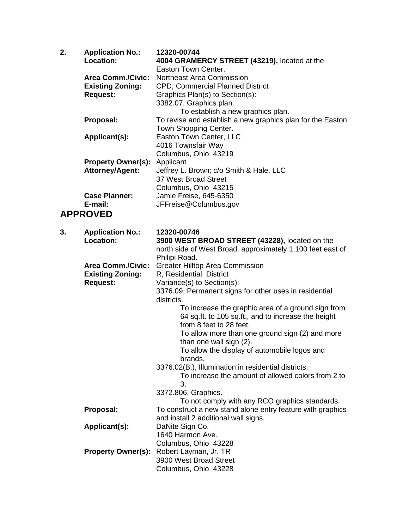| 2. | <b>Application No.:</b><br>Location:                | 12320-00744<br>4004 GRAMERCY STREET (43219), located at the                    |
|----|-----------------------------------------------------|--------------------------------------------------------------------------------|
|    |                                                     | Easton Town Center.                                                            |
|    | <b>Area Comm./Civic:</b><br><b>Existing Zoning:</b> | <b>Northeast Area Commission</b><br><b>CPD, Commercial Planned District</b>    |
|    | <b>Request:</b>                                     | Graphics Plan(s) to Section(s):                                                |
|    |                                                     | 3382.07, Graphics plan.                                                        |
|    |                                                     | To establish a new graphics plan.                                              |
|    | Proposal:                                           | To revise and establish a new graphics plan for the Easton                     |
|    |                                                     | Town Shopping Center.                                                          |
|    | Applicant(s):                                       | Easton Town Center, LLC                                                        |
|    |                                                     | 4016 Townsfair Way                                                             |
|    |                                                     | Columbus, Ohio 43219                                                           |
|    | <b>Property Owner(s):</b><br><b>Attorney/Agent:</b> | Applicant<br>Jeffrey L. Brown; c/o Smith & Hale, LLC                           |
|    |                                                     | 37 West Broad Street                                                           |
|    |                                                     | Columbus, Ohio 43215                                                           |
|    | <b>Case Planner:</b>                                | Jamie Freise, 645-6350                                                         |
|    | E-mail:                                             | JFFreise@Columbus.gov                                                          |
|    | <b>APPROVED</b>                                     |                                                                                |
|    |                                                     |                                                                                |
| 3. | <b>Application No.:</b>                             | 12320-00746                                                                    |
|    | Location:                                           | 3900 WEST BROAD STREET (43228), located on the                                 |
|    |                                                     | north side of West Broad, approximately 1,100 feet east of<br>Philipi Road.    |
|    | <b>Area Comm./Civic:</b>                            | <b>Greater Hilltop Area Commission</b>                                         |
|    | <b>Existing Zoning:</b>                             | R, Residential. District                                                       |
|    | <b>Request:</b>                                     | Variance(s) to Section(s):                                                     |
|    |                                                     | 3376.09, Permanent signs for other uses in residential                         |
|    |                                                     | districts.                                                                     |
|    |                                                     | To increase the graphic area of a ground sign from                             |
|    |                                                     | 64 sq.ft. to 105 sq.ft., and to increase the height<br>from 8 feet to 28 feet. |
|    |                                                     | To allow more than one ground sign (2) and more                                |
|    |                                                     | than one wall sign (2).                                                        |
|    |                                                     | To allow the display of automobile logos and                                   |
|    |                                                     | brands.                                                                        |
|    |                                                     | 3376.02(B.), Illumination in residential districts.                            |
|    |                                                     | To increase the amount of allowed colors from 2 to<br>3.                       |
|    |                                                     | 3372.806, Graphics.                                                            |
|    |                                                     | To not comply with any RCO graphics standards.                                 |
|    | Proposal:                                           | To construct a new stand alone entry feature with graphics                     |
|    | Applicant(s):                                       | and install 2 additional wall signs.<br>DaNite Sign Co.                        |
|    |                                                     | 1640 Harmon Ave.                                                               |
|    |                                                     | Columbus, Ohio 43228                                                           |
|    | <b>Property Owner(s):</b>                           | Robert Layman, Jr. TR                                                          |
|    |                                                     | 3900 West Broad Street                                                         |
|    |                                                     | Columbus, Ohio 43228                                                           |